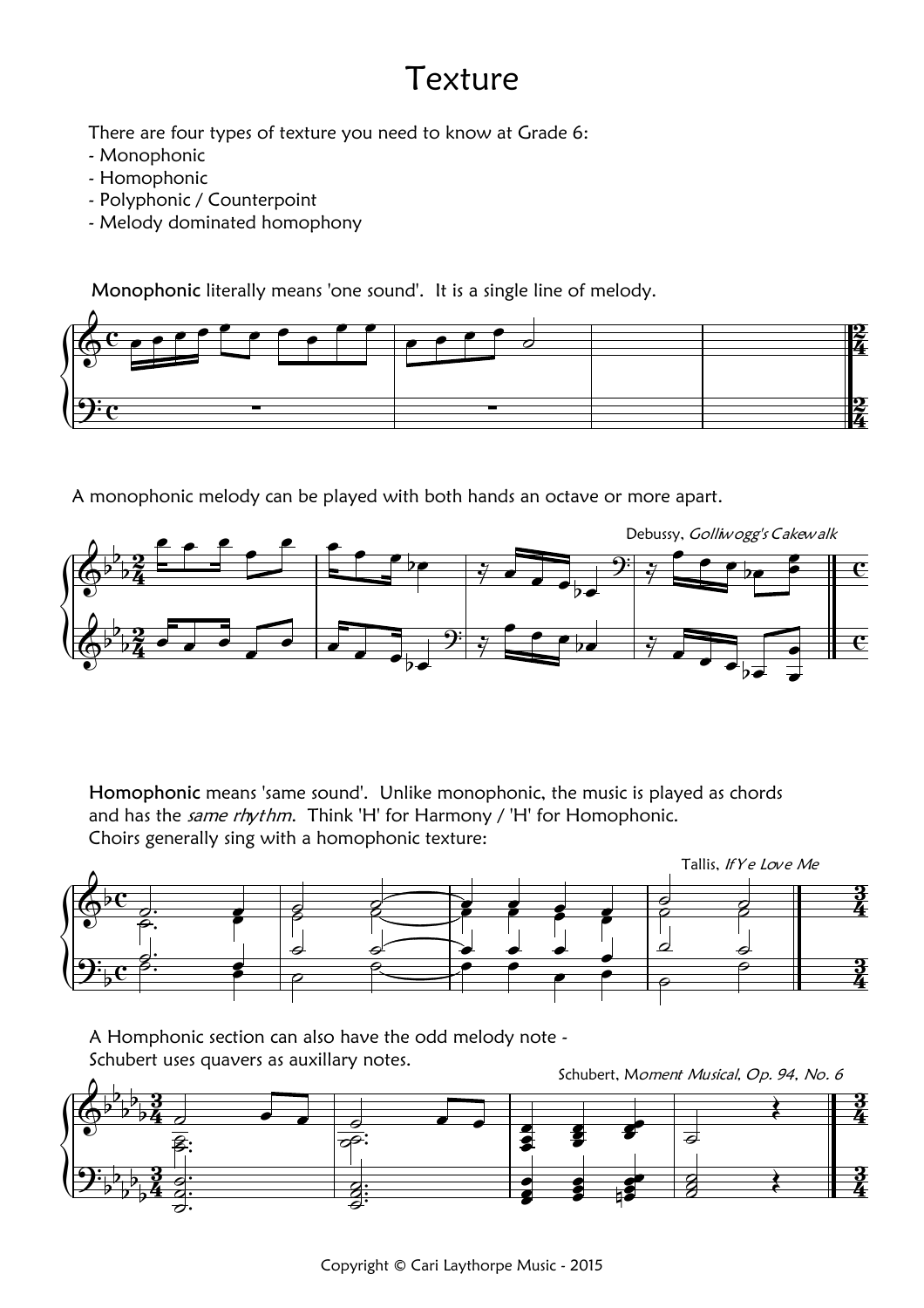## Texture

There are four types of texture you need to know at Grade 6:

- Monophonic
- Homophonic
- Polyphonic / Counterpoint
- Melody dominated homophony

Monophonic literally means 'one sound'. It is a single line of melody.



A monophonic melody can be played with both hands an octave or more apart.



Homophonic means 'same sound'. Unlike monophonic, the music is played as chords and has the same rhythm. Think 'H' for Harmony / 'H' for Homophonic. Choirs generally sing with a homophonic texture:



A Homphonic section can also have the odd melody note -